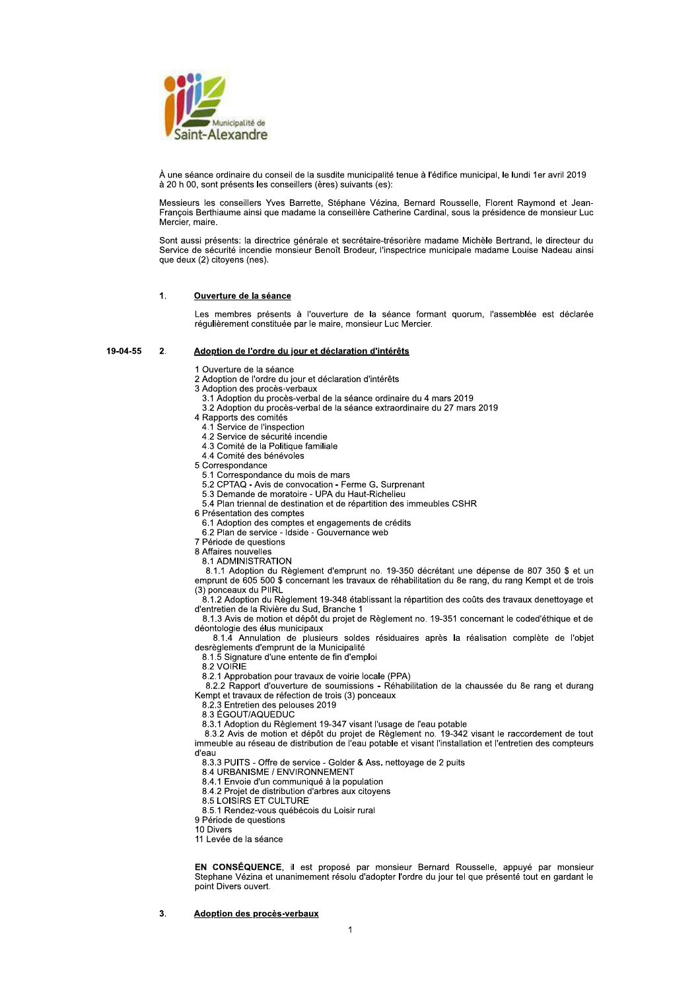

À une séance ordinaire du conseil de la susdite municipalité tenue à l'édifice municipal, le lundi 1er avril 2019 à 20 h 00, sont présents les conseillers (ères) suivants (es):

Messieurs les conseillers Yves Barrette. Stéphane Vézina. Bernard Rousselle. Florent Raymond et Jean-Francois Berthiaume ainsi que madame la conseillère Catherine Cardinal, sous la présidence de monsieur Luc Mercier, maire.

Sont aussi présents: la directrice générale et secrétaire-trésorière madame Michèle Bertrand, le directeur du Service de sécurité incendie monsieur Benoît Brodeur, l'inspectrice municipale madame Louise Nadeau ainsi que deux (2) citoyens (nes).

#### $1.$ Ouverture de la séance

Les membres présents à l'ouverture de la séance formant quorum, l'assemblée est déclarée régulièrement constituée par le maire, monsieur Luc Mercier.

#### 19-04-55  $\overline{2}$ Adoption de l'ordre du jour et déclaration d'intérêts

1 Ouverture de la séance

- 2 Adoption de l'ordre du jour et déclaration d'intérêts
- 3 Adoption des procès-verbaux
	- 3.1 Adoption du procès-verbal de la séance ordinaire du 4 mars 2019
	- 3.2 Adoption du procès-verbal de la séance extraordinaire du 27 mars 2019
- 4 Rapports des comités
	- 4.1 Service de l'inspection
	- 4.2 Service de sécurité incendie
	- 4.3 Comité de la Politique familiale 4.4 Comité des bénévoles
- 5 Correspondance
- 5.1 Correspondance du mois de mars
- 5.2 CPTAQ Avis de convocation Ferme G. Surprenant
- 5.3 Demande de moratoire UPA du Haut-Richelieu
- 5.4 Plan triennal de destination et de répartition des immeubles CSHR
- 6 Présentation des comptes
	- 6.1 Adoption des comptes et engagements de crédits
	- 6.2 Plan de service Idside Gouvernance web
- 7 Période de questions
- 8 Affaires nouvelles
	- 8.1 ADMINISTRATION

8.1.1 Adoption du Règlement d'emprunt no. 19-350 décrétant une dépense de 807 350 \$ et un emprunt de 605 500 \$ concernant les travaux de réhabilitation du 8e rang, du rang Kempt et de trois (3) ponceaux du PIIRL

8.1.2 Adoption du Règlement 19-348 établissant la répartition des coûts des travaux denettoyage et d'entretien de la Rivière du Sud, Branche 1<br>8.1.3 Avis de motion et dépôt du projet de Règlement no. 19-351 concernant le coded'éthique et de

déontologie des élus municipaux

8.1.4 Annulation de plusieurs soldes résiduaires après la réalisation complète de l'objet desrèglements d'emprunt de la Municipalité 8.1.5 Signature d'une entente de fin d'emploi

8.2 VOIRIE

8.2.1 Approbation pour travaux de voirie locale (PPA)

8.2.2 Rapport d'ouverture de soumissions - Réhabilitation de la chaussée du 8e rang et durang Kempt et travaux de réfection de trois (3) ponceaux

8.2.3 Entretien des pelouses 2019

8.3 ÉGOUT/AQUEDUC

8.3.1 Adoption du Règlement 19-347 visant l'usage de l'eau potable

8.3.2 Avis de motion et dépôt du projet de Règlement no. 19-342 visant le raccordement de tout<br>immeuble au réseau de distribution de l'eau potable et visant l'installation et l'entretien des compteurs d'eau

8.3.3 PUITS - Offre de service - Golder & Ass. nettoyage de 2 puits

8.4 URBANISME / ENVIRONNEMENT

8.4.1 Envoie d'un communiqué à la population

8.4.2 Projet de distribution d'arbres aux citoyens

8.5 LOISIRS ET CULTURE

8.5.1 Rendez-vous québécois du Loisir rural

9 Période de questions

10 Divers

11 Levée de la séance

EN CONSÉQUENCE, il est proposé par monsieur Bernard Rousselle, appuyé par monsieur Stephane Vézina et unanimement résolu d'adopter l'ordre du jour tel que présenté tout en gardant le point Divers ouvert.

Adoption des procès-verbaux 3.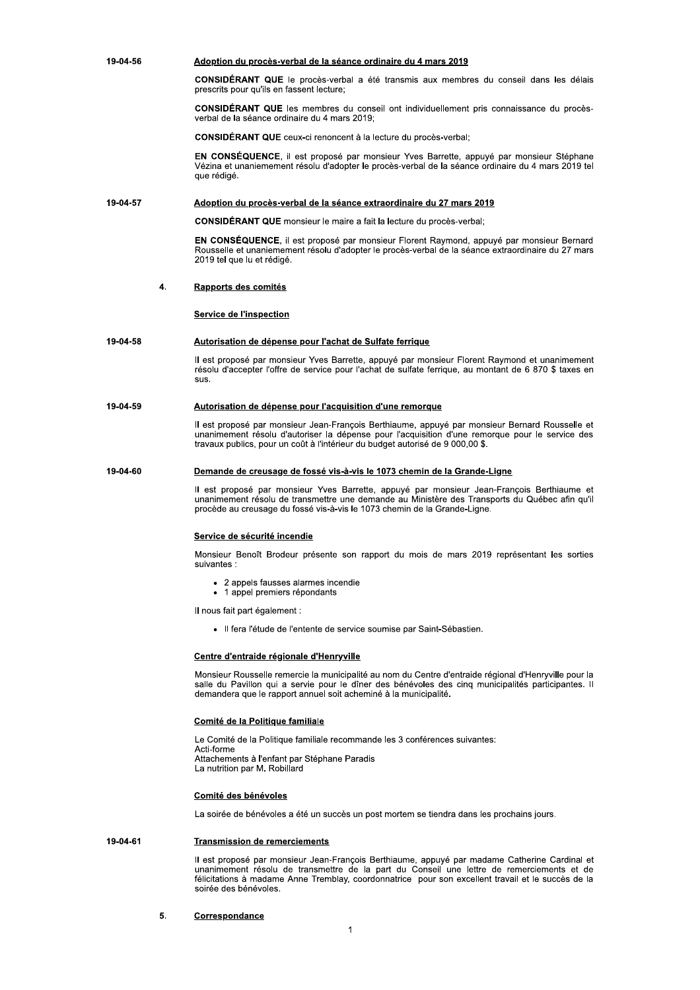19-04-56 Adoption du procès-verbal de la séance ordinaire du 4 mars 2019

> CONSIDÉRANT QUE le procès-verbal a été transmis aux membres du conseil dans les délais prescrits pour qu'ils en fassent lecture;

> CONSIDÉRANT QUE les membres du conseil ont individuellement pris connaissance du procèsverbal de la séance ordinaire du 4 mars 2019;

**CONSIDÉRANT QUE** ceux-ci renoncent à la lecture du procès-verbal;

EN CONSÉQUENCE, il est proposé par monsieur Yves Barrette, appuyé par monsieur Stéphane Vézina et unaniemement résolu d'adopter le procès-verbal de la séance ordinaire du 4 mars 2019 tel que rédigé.

#### 19-04-57 Adoption du procès-verbal de la séance extraordinaire du 27 mars 2019

CONSIDÉRANT QUE monsieur le maire a fait la lecture du procès-verbal;

EN CONSÉQUENCE, il est proposé par monsieur Florent Raymond, appuyé par monsieur Bernard Rousselle et unaniemement résolu d'adopter le procès-verbal de la séance extraordinaire du 27 mars 2019 tel que lu et rédigé.

#### 4. Rapports des comités

# Service de l'inspection

#### 19-04-58 Autorisation de dépense pour l'achat de Sulfate ferrique

Il est proposé par monsieur Yves Barrette, appuyé par monsieur Florent Raymond et unanimement résolu d'accepter l'offre de service pour l'achat de sulfate ferrique, au montant de 6 870 \$ taxes en sus.

#### 19-04-59 Autorisation de dépense pour l'acquisition d'une remorque

Il est proposé par monsieur Jean-François Berthiaume, appuyé par monsieur Bernard Rousselle et unanimement résolu d'autoriser la dépense pour l'acquisition d'une remorque pour le service des travaux publics, pour un coût à l'intérieur du budget autorisé de 9 000,00 \$.

#### 19-04-60 Demande de creusage de fossé vis-à-vis le 1073 chemin de la Grande-Ligne

Il est proposé par monsieur Yves Barrette, appuyé par monsieur Jean-François Berthiaume et<br>unanimement résolu de transmettre une demande au Ministère des Transports du Québec afin qu'il procède au creusage du fossé vis-à-vis le 1073 chemin de la Grande-Ligne.

## Service de sécurité incendie

Monsieur Benoît Brodeur présente son rapport du mois de mars 2019 représentant les sorties suivantes :

- 2 appels fausses alarmes incendie
- 1 appel premiers répondants  $\Delta$

Il nous fait part également :

· Il fera l'étude de l'entente de service soumise par Saint-Sébastien.

# Centre d'entraide régionale d'Henryville

Monsieur Rousselle remercie la municipalité au nom du Centre d'entraide régional d'Henryville pour la salle du Pavillon qui a servie pour le dîner des bénévoles des cinq municipalités participantes. Il demandera que le rapport annuel soit acheminé à la municipalité.

# Comité de la Politique familiale

Le Comité de la Politique familiale recommande les 3 conférences suivantes:

Acti-forme Attachements à l'enfant par Stéphane Paradis La nutrition par M. Robillard

# Comité des bénévoles

La soirée de bénévoles a été un succès un post mortem se tiendra dans les prochains jours.

#### 19-04-61 **Transmission de remerciements**

Il est proposé par monsieur Jean-François Berthiaume, appuyé par madame Catherine Cardinal et unanimement résolu de transmettre de la part du Conseil une lettre de remerciements et de félicitations à madame Anne Tremblay, coordonnatrice pour son excellent travail et le succès de la soirée des bénévoles.

#### 5. Correspondance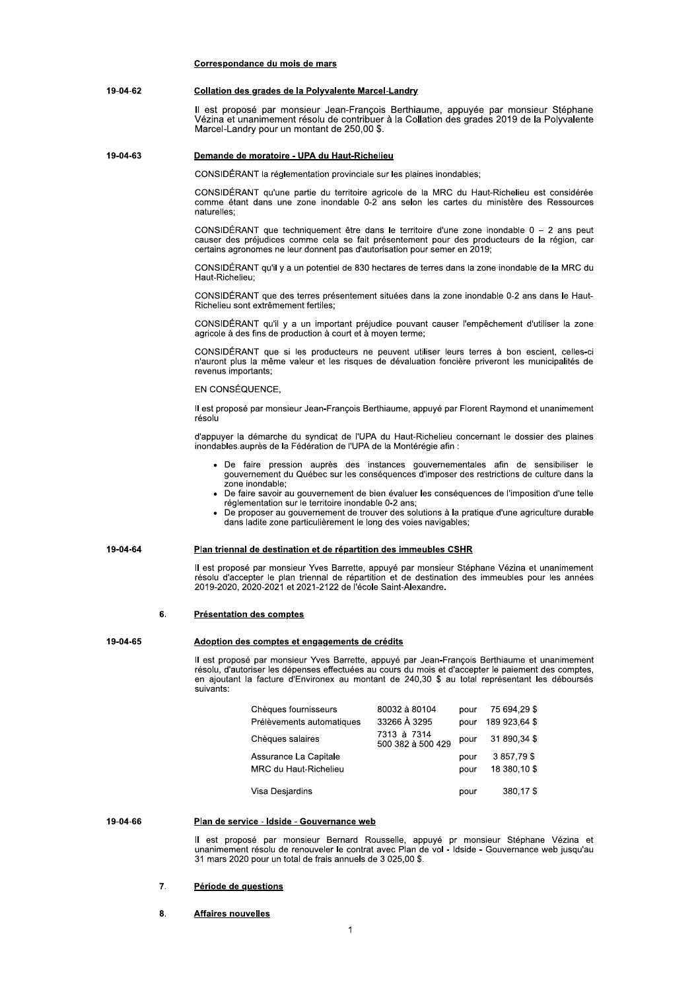|          | Correspondance du mois de mars                                                                                                                                                                                                                                                                                                                                                                                                                                                                                                |  |
|----------|-------------------------------------------------------------------------------------------------------------------------------------------------------------------------------------------------------------------------------------------------------------------------------------------------------------------------------------------------------------------------------------------------------------------------------------------------------------------------------------------------------------------------------|--|
| 19-04-62 | Collation des grades de la Polyvalente Marcel-Landry                                                                                                                                                                                                                                                                                                                                                                                                                                                                          |  |
|          | Il est proposé par monsieur Jean-François Berthiaume, appuyée par monsieur Stéphane<br>Vézina et unanimement résolu de contribuer à la Collation des grades 2019 de la Polyvalente<br>Marcel-Landry pour un montant de 250,00 \$.                                                                                                                                                                                                                                                                                             |  |
| 19-04-63 | Demande de moratoire - UPA du Haut-Richelieu                                                                                                                                                                                                                                                                                                                                                                                                                                                                                  |  |
|          | CONSIDERANT la réglementation provinciale sur les plaines inondables;                                                                                                                                                                                                                                                                                                                                                                                                                                                         |  |
|          | CONSIDERANT qu'une partie du territoire agricole de la MRC du Haut-Richelieu est considérée<br>comme étant dans une zone inondable 0-2 ans selon les cartes du ministère des Ressources<br>naturelles:                                                                                                                                                                                                                                                                                                                        |  |
|          | CONSIDERANT que techniquement être dans le territoire d'une zone inondable $0 - 2$ ans peut<br>causer des préjudices comme cela se fait présentement pour des producteurs de la région, car<br>certains agronomes ne leur donnent pas d'autorisation pour semer en 2019;                                                                                                                                                                                                                                                      |  |
|          | CONSIDERANT qu'il y a un potentiel de 830 hectares de terres dans la zone inondable de la MRC du<br>Haut-Richelieu;                                                                                                                                                                                                                                                                                                                                                                                                           |  |
|          | CONSIDERANT que des terres présentement situées dans la zone inondable 0-2 ans dans le Haut-<br>Richelieu sont extrêmement fertiles;                                                                                                                                                                                                                                                                                                                                                                                          |  |
|          | CONSIDERANT qu'il y a un important préjudice pouvant causer l'empêchement d'utiliser la zone<br>agricole à des fins de production à court et à moyen terme;                                                                                                                                                                                                                                                                                                                                                                   |  |
|          | CONSIDERANT que si les producteurs ne peuvent utiliser leurs terres à bon escient, celles-ci<br>n'auront plus la même valeur et les risques de dévaluation foncière priveront les municipalités de<br>revenus importants;                                                                                                                                                                                                                                                                                                     |  |
|          | EN CONSÉQUENCE,                                                                                                                                                                                                                                                                                                                                                                                                                                                                                                               |  |
|          | Il est proposé par monsieur Jean-François Berthiaume, appuyé par Florent Raymond et unanimement<br>résolu                                                                                                                                                                                                                                                                                                                                                                                                                     |  |
|          | d'appuyer la démarche du syndicat de l'UPA du Haut-Richelieu concernant le dossier des plaines<br>inondables auprès de la Fédération de l'UPA de la Montérégie afin :                                                                                                                                                                                                                                                                                                                                                         |  |
|          | • De faire pression auprès des instances gouvernementales afin de sensibiliser le<br>gouvernement du Québec sur les conséquences d'imposer des restrictions de culture dans la<br>zone inondable;<br>• De faire savoir au gouvernement de bien évaluer les conséquences de l'imposition d'une telle<br>réglementation sur le territoire inondable 0-2 ans;<br>De proposer au gouvernement de trouver des solutions à la pratique d'une agriculture durable<br>dans ladite zone particulièrement le long des voies navigables; |  |
| 19-04-64 | Plan triennal de destination et de répartition des immeubles CSHR                                                                                                                                                                                                                                                                                                                                                                                                                                                             |  |
|          | Il est proposé par monsieur Yves Barrette, appuyé par monsieur Stéphane Vézina et unanimement<br>résolu d'accepter le plan triennal de répartition et de destination des immeubles pour les années<br>2019-2020, 2020-2021 et 2021-2122 de l'école Saint-Alexandre.                                                                                                                                                                                                                                                           |  |
| 6.       | Présentation des comptes                                                                                                                                                                                                                                                                                                                                                                                                                                                                                                      |  |
| 19-04-65 | Adoption des comptes et engagements de crédits                                                                                                                                                                                                                                                                                                                                                                                                                                                                                |  |
|          | Il est proposé par monsieur Yves Barrette, appuyé par Jean-François Berthiaume et unanimement<br>résolu, d'autoriser les dépenses effectuées au cours du mois et d'accepter le paiement des comptes.<br>en ajoutant la facture d'Environex au montant de 240,30 \$ au total représentant les déboursés<br>suivants:                                                                                                                                                                                                           |  |
|          | Chèques fournisseurs<br>80032 à 80104<br>75 694,29 \$<br>pour<br>33266 A 3295<br>189 923,64 \$<br>Prélèvements automatiques<br>pour                                                                                                                                                                                                                                                                                                                                                                                           |  |
|          | 7313 à 7314<br>31 890,34 \$<br>Chèques salaires<br>pour<br>500 382 à 500 429                                                                                                                                                                                                                                                                                                                                                                                                                                                  |  |
|          | 3 857,79 \$<br>Assurance La Capitale<br>pour<br>MRC du Haut-Richelieu<br>18 380,10 \$<br>pour                                                                                                                                                                                                                                                                                                                                                                                                                                 |  |
|          | 380,17\$<br>Visa Desjardins<br>pour                                                                                                                                                                                                                                                                                                                                                                                                                                                                                           |  |
| 19-04-66 | Plan de service - Idside - Gouvernance web                                                                                                                                                                                                                                                                                                                                                                                                                                                                                    |  |
|          |                                                                                                                                                                                                                                                                                                                                                                                                                                                                                                                               |  |

II est proposé par monsieur Bernard Rousselle, appuyé pr monsieur Stéphane Vézina et unanimement résolu de renouveler le contrat avec Plan de vol - Idside - Gouvernance web jusqu'au 31 mars 2020 pour un total de frais annu

# <u>reriode de questions </u>

# **8.** Affaires nouvelles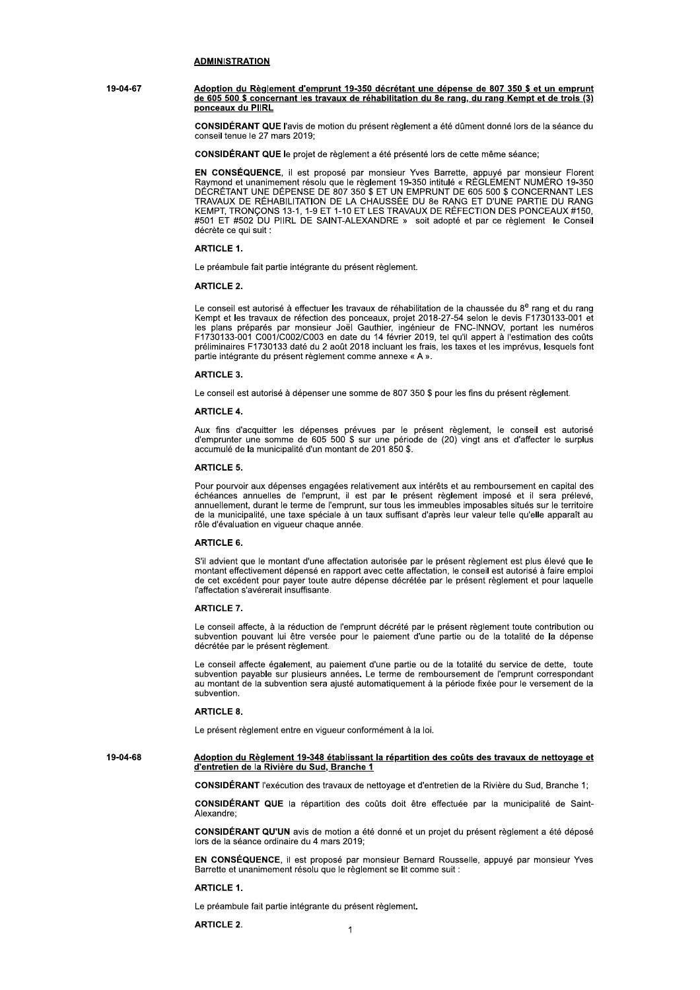# **ADMINISTRATION**

19-04-67 Adoption du Règlement d'emprunt 19-350 décrétant une dépense de 807 350 \$ et un emprunt de 605 500 \$ concernant les travaux de réhabilitation du 8e rang, du rang Kempt et de trois (3) ponceaux du PIIRL

> CONSIDÉRANT QUE l'avis de motion du présent règlement a été dûment donné lors de la séance du conseil tenue le 27 mars 2019;

CONSIDÉRANT QUE le projet de règlement a été présenté lors de cette même séance;

EN CONSÉQUENCE, il est proposé par monsieur Yves Barrette, appuyé par monsieur Florent Raymond et unanimement résolu que le règlement 19-350 intitulé « RÈGLEMENT NUMÉRO 19-350 DÉCRÉTANT UNE DÉPENSE DE 807 350 \$ ET UN EMPRUNT DE 605 500 \$ CONCERNANT LES TRAVAUX DE RÉHABILITATION DE LA CHAUSSÉE DU 8e RANG ET D'UNE PARTIE DU RANG KEMPT, TRONÇONS 13-1, 1-9 ET 1-10 ET LES TRAVAUX DE RÉFECTION DES PONCEAUX #150, #501 ET #502 DU PIIRL DE SAINT-ALEXANDRE » soit adopté et par ce règlement le Conseil décrète ce qui suit :

# **ARTICLE 1.**

Le préambule fait partie intégrante du présent règlement.

## **ARTICLE 2.**

Le conseil est autorisé à effectuer les travaux de réhabilitation de la chaussée du 8<sup>e</sup> rang et du rang Kempt et les travaux de réfection des navaux de renammanon de la chausse du o Tang et du rang<br>Kempt et les travaux de réfection des ponceaux, projet 2018-27-54 selon le devis F1730133-001 et<br>les plans préparés par monsieur F1730133-001 C001/C002/C003 en date du 14 février 2019, tel qu'il appert à l'estimation des coûts préliminaires F1730133 daté du 2 août 2018 incluant les frais, les taxes et les imprévus, lesquels font partie intégrante du présent règlement comme annexe « A ».

# ARTICLE 3

Le conseil est autorisé à dépenser une somme de 807 350 \$ pour les fins du présent règlement.

#### **ARTICI F4**

Aux fins d'acquitter les dépenses prévues par le présent règlement, le conseil est autorisé<br>d'emprunter une somme de 605 500 \$ sur une période de (20) vingt ans et d'affecter le surplus accumulé de la municipalité d'un montant de 201 850 \$.

### **ARTICLE 5.**

Pour pourvoir aux dépenses engagées relativement aux intérêts et au remboursement en capital des échéances annuelles de l'emprunt, il est par le présent règlement imposé et il sera prélevé,<br>annuellement, durant le terme de l'emprunt, il est par le présent règlement imposé et il sera prélevé,<br>annuellement, durant le te de la municipalité, une taxe spéciale à un taux suffisant d'après leur valeur telle qu'elle apparaît au rôle d'évaluation en vigueur chaque année.

# **ARTICLE 6.**

S'il advient que le montant d'une affectation autorisée par le présent règlement est plus élevé que le montant effectivement dépensé en rapport avec cette affectation, le conseil est autorisé à faire emploi de cet excédent pour payer toute autre dépense décrétée par le présent règlement et pour laquelle l'affectation s'avérerait insuffisante.

# **ARTICLE 7.**

Le conseil affecte, à la réduction de l'emprunt décrété par le présent règlement toute contribution ou subvention pouvant lui être versée pour le paiement d'une partie ou de la totalité de la dépense décrétée par le présent règlement.

Le conseil affecte également, au paiement d'une partie ou de la totalité du service de dette, toute subvention payable sur plusieurs années. Le terme de remboursement de l'emprunt correspondant au montant de la subvention sera ajusté automatiquement à la période fixée pour le versement de la subvention

### **ARTICLE 8.**

Le présent règlement entre en vigueur conformément à la loi.

19-04-68 Adoption du Règlement 19-348 établissant la répartition des coûts des travaux de nettoyage et d'entretien de la Rivière du Sud, Branche 1

CONSIDÉRANT l'exécution des travaux de nettoyage et d'entretien de la Rivière du Sud, Branche 1;

CONSIDÉRANT QUE la répartition des coûts doit être effectuée par la municipalité de Saint-Alexandre:

CONSIDÉRANT QU'UN avis de motion a été donné et un projet du présent règlement a été déposé lors de la séance ordinaire du 4 mars 2019:

EN CONSÉQUENCE, il est proposé par monsieur Bernard Rousselle, appuyé par monsieur Yves Barrette et unanimement résolu que le règlement se lit comme suit :

### **ARTICLE 1.**

Le préambule fait partie intégrante du présent règlement.

**ARTICLE 2.**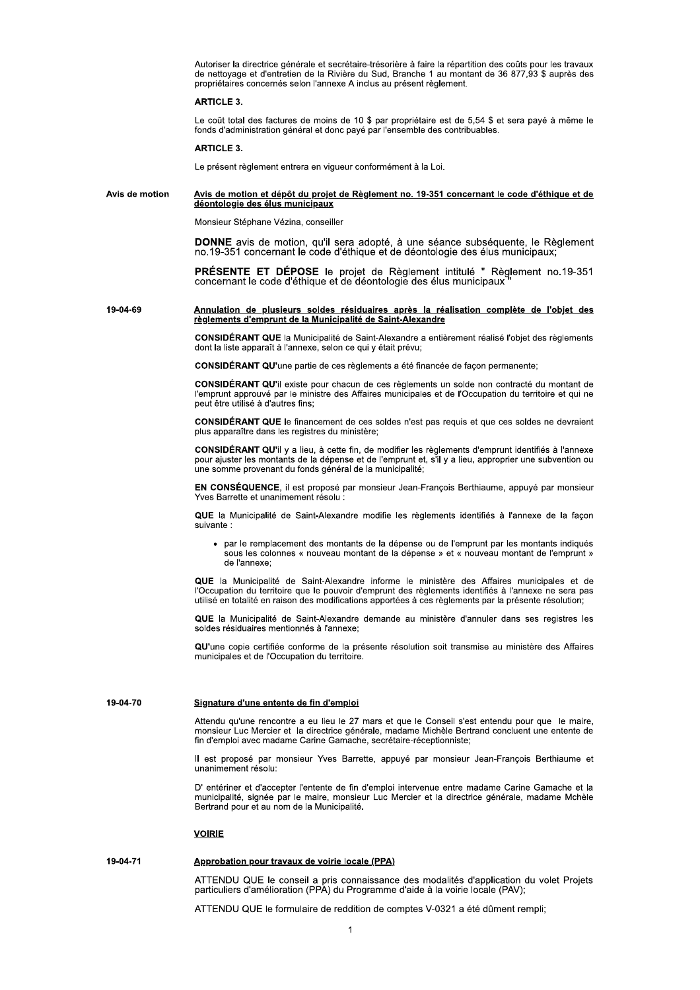Autoriser la directrice générale et secrétaire-trésorière à faire la répartition des coûts pour les travaux de nettovage et d'entretien de la Rivière du Sud. Branche 1 au montant de 36 877.93 \$ auprès des propriétaires concernés selon l'annexe A inclus au présent règlement.

# ARTICLE 3

Le coût total des factures de moins de 10 \$ par propriétaire est de 5,54 \$ et sera payé à même le fonds d'administration général et donc payé par l'ensemble des contribuables.

# **ARTICLE 3.**

Le présent règlement entrera en vigueur conformément à la Loi.

#### Avis de motion Avis de motion et dépôt du projet de Règlement no. 19-351 concernant le code d'éthique et de déontologie des élus municipaux

Monsieur Stéphane Vézina, conseiller

DONNE avis de motion, qu'il sera adopté, à une séance subséquente, le Règlement no.19-351 concernant le code d'éthique et de déontologie des élus municipaux;

PRÉSENTE ET DÉPOSE le projet de Règlement intitulé " Règlement no.19-351 concernant le code d'éthique et de déontologie des élus municipaux "

19-04-69 Annulation de plusieurs soldes résiduaires après la réalisation complète de l'objet des règlements d'emprunt de la Municipalité de Saint-Alexandre

> CONSIDÉRANT QUE la Municipalité de Saint-Alexandre a entièrement réalisé l'objet des règlements dont la liste apparaît à l'annexe, selon ce qui y était prévu:

CONSIDÉRANT QU'une partie de ces règlements a été financée de façon permanente;

CONSIDÉRANT QU'il existe pour chacun de ces règlements un solde non contracté du montant de l'emprunt approuvé par le ministre des Affaires municipales et de l'Occupation du territoire et qui ne peut être utilisé à d'autres fins:

CONSIDÉRANT QUE le financement de ces soldes n'est pas requis et que ces soldes ne devraient plus apparaître dans les registres du ministère;

CONSIDÉRANT QU'il y a lieu, à cette fin, de modifier les règlements d'emprunt identifiés à l'annexe pour aiuster les montants de la dépense et de l'emprunt et, s'il y a lieu, approprier une subvention ou une somme provenant du fonds général de la municipalité;

EN CONSÉQUENCE, il est proposé par monsieur Jean-François Berthiaume, appuyé par monsieur Yves Barrette et unanimement résolu :

QUE la Municipalité de Saint-Alexandre modifie les règlements identifiés à l'annexe de la facon suivante :

par le remplacement des montants de la dépense ou de l'emprunt par les montants indiqués sous les colonnes « nouveau montant de la dépense » et « nouveau montant de l'emprunt » de l'annexe:

QUE la Municipalité de Saint-Alexandre informe le ministère des Affaires municipales et de l'Occupation du territoire que le pouvoir d'emprunt des règlements identifiés à l'annexe ne sera pas utilisé en totalité en raison des modifications apportées à ces règlements par la présente résolution;

QUE la Municipalité de Saint-Alexandre demande au ministère d'annuler dans ses registres les soldes résiduaires mentionnés à l'annexe:

QU'une copie certifiée conforme de la présente résolution soit transmise au ministère des Affaires municipales et de l'Occupation du territoire.

19-04-70

### Signature d'une entente de fin d'emploi

Attendu qu'une rencontre a eu lieu le 27 mars et que le Conseil s'est entendu pour que le maire, monsieur Luc Mercier et la directrice générale, madame Michèle Bertrand concluent une entente de fin d'emploi avec madame Carine Gamache, secrétaire-réceptionniste:

Il est proposé par monsieur Yves Barrette, appuyé par monsieur Jean-Francois Berthiaume et unanimement résolu:

D' entériner et d'accepter l'entente de fin d'emploi intervenue entre madame Carine Gamache et la municipalité, signée par le maire, monsieur Luc Mercier et la directrice générale, madame Mchèle Bertrand pour et au nom de la Municipalité.

# **VOIRIE**

#### 19-04-71 Approbation pour travaux de voirie locale (PPA)

ATTENDU QUE le conseil a pris connaissance des modalités d'application du volet Projets particuliers d'amélioration (PPA) du Programme d'aide à la voirie locale (PAV);

ATTENDU QUE le formulaire de reddition de comptes V-0321 a été dûment rempli: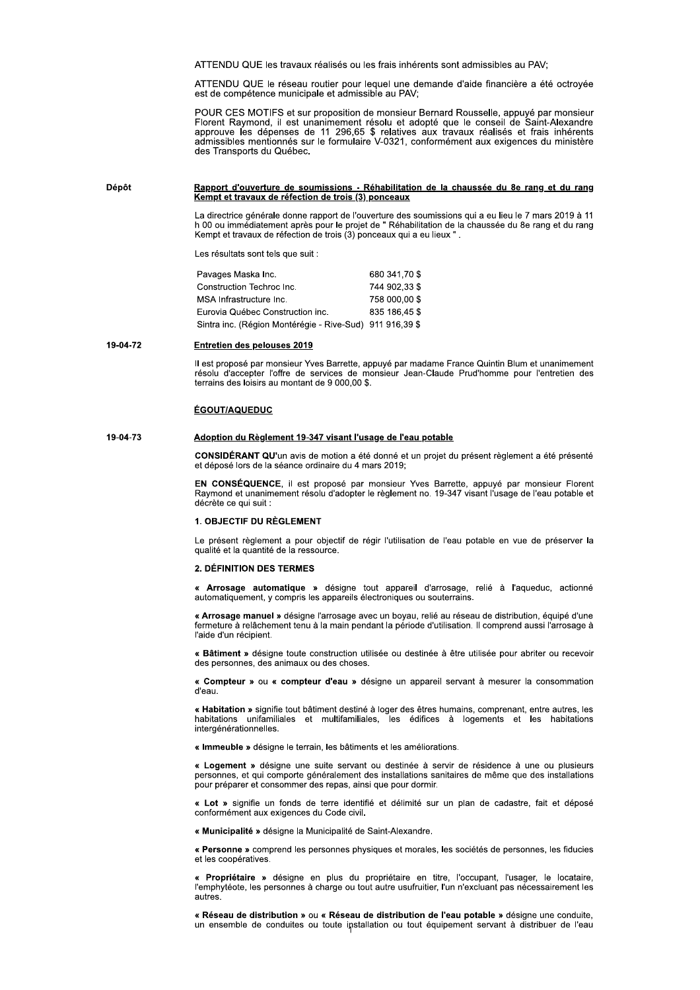ATTENDU QUE les travaux réalisés ou les frais inhérents sont admissibles au PAV;

ATTENDU QUE le réseau routier pour lequel une demande d'aide financière a été octroyée est de compétence municipale et admissible au PAV;

POUR CES MOTIFS et sur proposition de monsieur Bernard Rousselle, appuyé par monsieur Florent Raymond, il est unanimement résolu et adopté que le conseil de Saint-Alexandre approuve les dépenses de 11 296,65 \$ relatives aux travaux réalisés et frais inhérents<br>admissibles mentionnés sur le formulaire V-0321, conformément aux exigences du ministère des Transports du Québec.

#### Dépôt Rapport d'ouverture de soumissions - Réhabilitation de la chaussée du 8e rang et du rang Kempt et travaux de réfection de trois (3) ponceaux

La directrice générale donne rapport de l'ouverture des soumissions qui a eu lieu le 7 mars 2019 à 11 La uneculo generale qui un espoi de la Chance des sourissions qui a eu lleu e 7 mais 2019 à 11<br>h 00 ou immédiatement après pour le projet de "Réhabilitation de la chaussée du 8e rang et du rang<br>Kempt et travaux de réfectio

Les résultats sont tels que suit :

| Pavages Maska Inc.                                       | 680 341 70 \$ |
|----------------------------------------------------------|---------------|
| Construction Techroc Inc.                                | 744 902.33 \$ |
| MSA Infrastructure Inc.                                  | 758 000 00 \$ |
| Eurovia Québec Construction inc.                         | 835 186,45 \$ |
| Sintra inc. (Région Montérégie - Rive-Sud) 911 916,39 \$ |               |
|                                                          |               |

#### 19-04-72 Entretien des pelouses 2019

Il est proposé par monsieur Yves Barrette, appuyé par madame France Quintin Blum et unanimement résolu d'accepter l'offre de services de monsieur Jean-Claude Prud'homme pour l'entretien des terrains des loisirs au montant de 9 000,00 \$.

# ÉGOUT/AQUEDUC

#### 19-04-73 Adoption du Règlement 19-347 visant l'usage de l'eau potable

CONSIDÉRANT QU'un avis de motion a été donné et un projet du présent règlement a été présenté et déposé lors de la séance ordinaire du 4 mars 2019;

EN CONSÉQUENCE, il est proposé par monsieur Yves Barrette, appuyé par monsieur Florent Raymond et unanimement résolu d'adopter le règlement no. 19-347 visant l'usage de l'eau potable et décrète ce qui suit :

# 1. OBJECTIF DU RÈGLEMENT

Le présent règlement a pour objectif de régir l'utilisation de l'eau potable en vue de préserver la qualité et la quantité de la ressource.

# 2. DÉFINITION DES TERMES

« Arrosage automatique » désigne tout appareil d'arrosage, relié à l'aqueduc, actionné automatiquement, y compris les appareils électroniques ou souterrains.

« Arrosage manuel » désigne l'arrosage avec un boyau, relié au réseau de distribution, équipé d'une fermeture à relâchement tenu à la main pendant la période d'utilisation. Il comprend aussi l'arrosage à l'aide d'un récipient.

« Bâtiment » désigne toute construction utilisée ou destinée à être utilisée pour abriter ou recevoir des personnes, des animaux ou des choses.

« Compteur » ou « compteur d'eau » désigne un appareil servant à mesurer la consommation d'eau.

« Habitation » signifie tout bâtiment destiné à loger des êtres humains, comprenant, entre autres, les habitations unifamiliales et multifamiliales, les édifices à logements et les habitations intergénérationnelles.

« Immeuble » désigne le terrain les bâtiments et les améliorations

« Logement » désigne une suite servant ou destinée à servir de résidence à une ou plusieurs personnes, et qui comporte généralement des installations sanitaires de même que des installations pour préparer et consommer des repas, ainsi que pour dormir.

« Lot » signifie un fonds de terre identifié et délimité sur un plan de cadastre, fait et déposé conformément aux exigences du Code civil.

« Municipalité » désigne la Municipalité de Saint-Alexandre.

« Personne » comprend les personnes physiques et morales, les sociétés de personnes, les fiducies et les coopératives

Propriétaire » désigne en plus du propriétaire en titre, l'occupant, l'usager, le locataire, l'emphytéote, les personnes à charge ou tout autre usufruitier, l'un n'excluant pas nécessairement les autres

« Réseau de distribution » ou « Réseau de distribution de l'eau potable » désigne une conduite. un ensemble de conduites ou toute installation ou tout équipement servant à distribuer de l'eau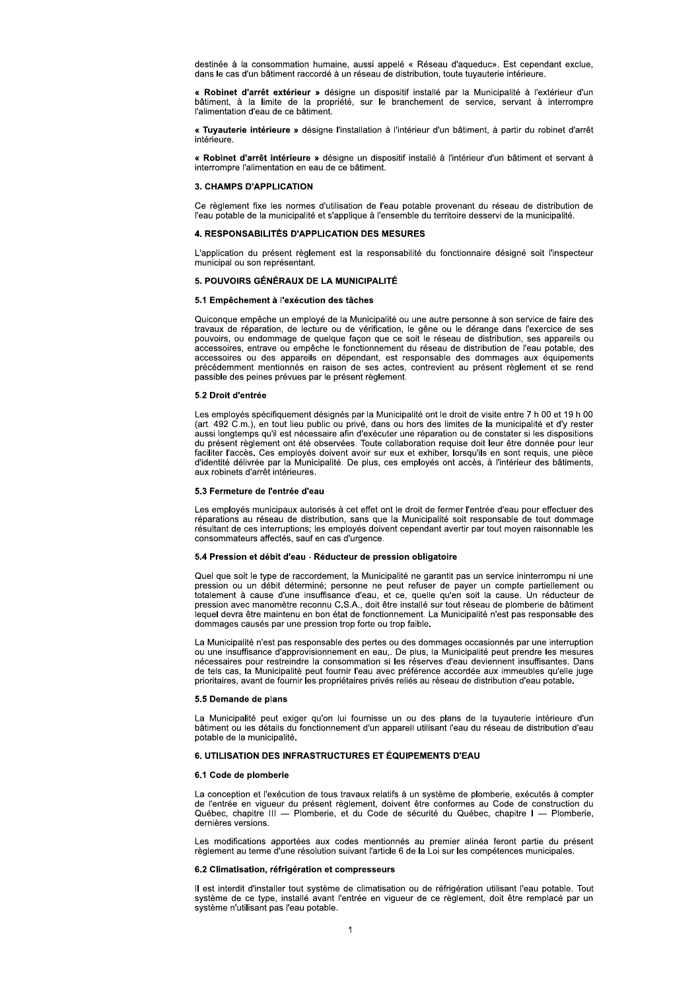destinée à la consommation humaine, aussi appelé « Réseau d'aqueduc». Est cependant exclue, dans le cas d'un bâtiment raccordé à un réseau de distribution, toute tuyauterie intérieure.

« Robinet d'arrêt extérieur » désigne un dispositif installé par la Municipalité à l'extérieur d'un bâtiment, à la limite de la propriété, sur le branchement de service, servant à interrompre l'alimentation d'eau de ce bâtiment.

« Tuyauterie intérieure » désigne l'installation à l'intérieur d'un bâtiment, à partir du robinet d'arrêt intérieure

« Robinet d'arrêt intérieure » désigne un dispositif installé à l'intérieur d'un bâtiment et servant à interrompre l'alimentation en eau de ce bâtiment.

# 3. CHAMPS D'APPLICATION

Ce rèalement fixe les normes d'utilisation de l'eau potable provenant du réseau de distribution de l'eau potable de la municipalité et s'applique à l'ensemble du territoire desservi de la municipalité.

# 4. RESPONSABILITÉS D'APPLICATION DES MESURES

L'application du présent règlement est la responsabilité du fonctionnaire désigné soit l'inspecteur municipal ou son représentant.

# 5. POUVOIRS GÉNÉRAUX DE LA MUNICIPALITÉ

### 5.1 Empêchement à l'exécution des tâches

Quiconque empêche un employé de la Municipalité ou une autre personne à son service de faire des travaux de réparation, de lecture ou de vérification, le gêne ou le dérange dans l'exercice de ses pouvoirs, ou endommage de quelque façon que ce soit le réseau de distribution, ses appareils ou<br>accessoires, entrave ou empêche le fonctionnement du réseau de distribution de l'eau potable, des accessoires ou des appareils en dépendant, est responsable des dommages aux équipements précédemment mentionnés en raison de ses actes, contrevient au présent règlement et se rend passible des peines prévues par le présent règlement.

## 5.2 Droit d'entrée

Les employés spécifiquement désignés par la Municipalité ont le droit de visite entre 7 h 00 et 19 h 00 (art. 492 C.m.), en tout lieu public ou privé, dans ou hors des limites de la municipalité et d'y rester aussi longtemps qu'il est nécessaire afin d'exécuter une réparation ou de constater si les dispositions du présent règlement ont été observées. Toute collaboration requise doit leur être donnée pour leur faciliter l'accès. Ces employés doivent avoir sur eux et exhiber, lorsqu'ils en sont requis, une pièce d'identité délivrée par la Municipalité. De plus, ces employés ont accès, à l'intérieur des bâtiments, aux robinets d'arrêt intérieures.

### 5.3 Fermeture de l'entrée d'eau

Les employés municipaux autorisés à cet effet ont le droit de fermer l'entrée d'eau pour effectuer des réparations au réseau de distribution, sans que la Municipalité soit responsable de tout dommage résultant de ces interruptions; les employés doivent cependant avertir par tout moyen raisonnable les consommateurs affectés, sauf en cas d'urgence.

### 5.4 Pression et débit d'eau - Réducteur de pression obligatoire

Quel que soit le type de raccordement, la Municipalité ne garantit pas un service ininterrompu ni une pression ou un débit déterminé; personne ne peut refuser de payer un compte partiellement ou<br>totalement à cause d'une insuffisance d'eau, et ce, quelle qu'en soit la cause. Un réducteur de<br>pression avec manomètre reconnu C lequel devra être maintenu en bon état de fonctionnement. La Municipalité n'est pas responsable des dommages causés par une pression trop forte ou trop faible.

La Municipalité n'est pas responsable des pertes ou des dommages occasionnés par une interruption ou une insuffisance d'approvisionnement en eau,. De plus, la Municipalité peut prendre les mesures récessaires pour restreindre la consommation si les réserves d'eau deviennent insuffisantes. Dans<br>de tels cas, la Municipalité peut fournir l'eau avec préférence accordée aux immeubles qu'elle juge prioritaires, avant de fournir les propriétaires privés reliés au réseau de distribution d'eau potable.

# 5.5 Demande de plans

La Municipalité peut exiger qu'on lui fournisse un ou des plans de la tuyauterie intérieure d'un bâtiment ou les détails du fonctionnement d'un appareil utilisant l'eau du réseau de distribution d'eau potable de la municipalité.

# 6. UTILISATION DES INFRASTRUCTURES ET ÉQUIPEMENTS D'EAU

### 6.1 Code de plomberie

La conception et l'exécution de tous travaux relatifs à un système de plomberie, exécutés à compter de l'entrée en vigueur du présent règlement, doivent être conformes au Code de construction du<br>Québec, chapitre III — Plomberie, et du Code de sécurité du Québec, chapitre I — Plomberie, dernières versions

Les modifications apportées aux codes mentionnés au premier alinéa feront partie du présent règlement au terme d'une résolution suivant l'article 6 de la Loi sur les compétences municipales.

### 6.2 Climatisation, réfrigération et compresseurs

Il est interdit d'installer tout système de climatisation ou de réfrigération utilisant l'eau potable. Tout système de ce type, installé avant l'entrée en viqueur de ce règlement, doit être remplacé par un système n'utilisant pas l'eau potable.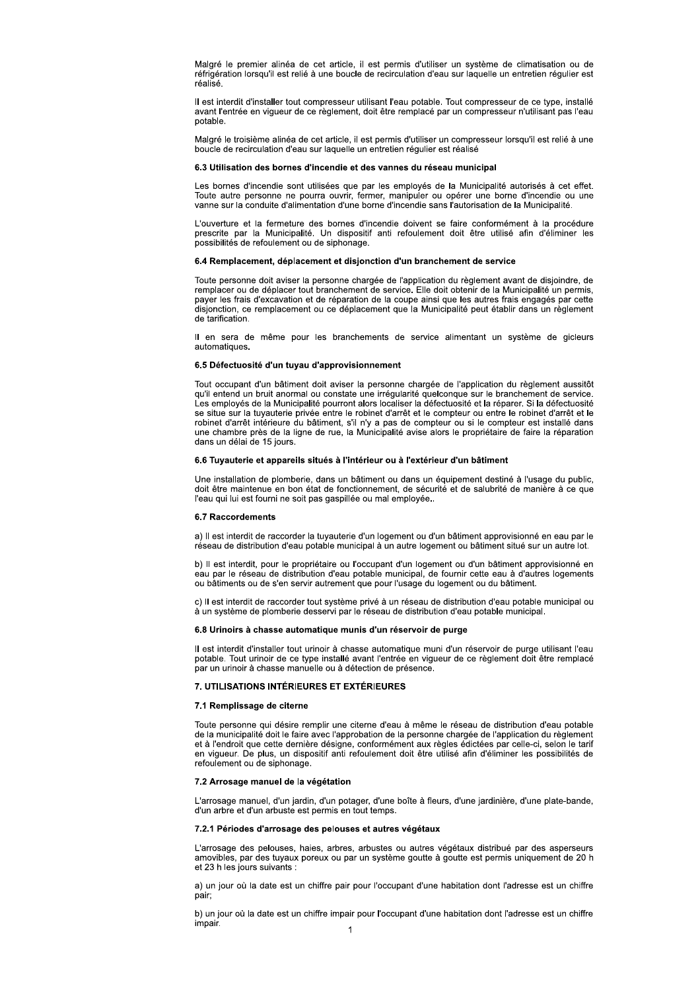Malgré le premier alinéa de cet article, il est permis d'utiliser un système de climatisation ou de réfrigération lorsqu'il est relié à une boucle de recirculation d'eau sur laquelle un entretien réqulier est réalisé.

Il est interdit d'installer tout compresseur utilisant l'eau potable. Tout compresseur de ce type, installé avant l'entrée en vigueur de ce règlement, doit être remplacé par un compresseur n'utilisant pas l'eau potable.

Malgré le troisième alinéa de cet article, il est permis d'utiliser un compresseur lorsqu'il est relié à une boucle de recirculation d'eau sur laquelle un entretien régulier est réalisé

### 6.3 Utilisation des bornes d'incendie et des vannes du réseau municipal

Les bornes d'incendie sont utilisées que par les employés de la Municipalité autorisés à cet effet. Toute autre personne ne pourra ouvrir, fermer, manipuler ou opérer une borne d'incendie ou une vanne sur la conduite d'alimentation d'une borne d'incendie sans l'autorisation de la Municipalité.

L'ouverture et la fermeture des bornes d'incendie doivent se faire conformément à la procédure prescrite par la Municipalité. Un dispositif anti refoulement doit être utilisé afin d'éliminer les possibilités de refoulement ou de siphonage.

### 6.4 Remplacement, déplacement et disjonction d'un branchement de service

Toute personne doit aviser la personne chargée de l'application du règlement avant de disjoindre, de remplacer ou de déplacer tout branchement de service. Elle doit obtenir de la Municipalité un permis, payer les frais d'excavation et de réparation de la coupe ainsi que les autres frais engagés par cette disjonction, ce remplacement ou ce déplacement que la Municipalité peut établir dans un règlement de tarification

Il en sera de même pour les branchements de service alimentant un système de gicleurs automatiques

# 6.5 Défectuosité d'un tuyau d'approvisionnement

Tout occupant d'un bâtiment doit aviser la personne chargée de l'application du règlement aussitôt qu'il entend un bruit anormal ou constate une irrégularité quelconque sur le branchement de service. Les employés de la Municipalité pourront alors localiser la défectuosité et la réparer. Si la défectuosité se situe sur la tuyauterie privée entre le robinet d'arrêt et le compteur ou entre le robinet d'arrêt et le robinet d'arrêt intérieure du bâtiment, s'il n'y a pas de compteur ou si le compteur est installé dans une chambre près de la ligne de rue, la Municipalité avise alors le propriétaire de faire la réparation dans un délai de 15 jours.

# 6.6 Tuyauterie et appareils situés à l'intérieur ou à l'extérieur d'un bâtiment

Une installation de plomberie, dans un bâtiment ou dans un équipement destiné à l'usage du public, doit être maintenue en bon état de fonctionnement, de sécurité et de salubrité de manière à ce que l'eau qui lui est fourni ne soit pas gaspillée ou mal employée..

#### **6.7 Raccordements**

a) Il est interdit de raccorder la tuyauterie d'un logement ou d'un bâtiment approvisionné en eau par le réseau de distribution d'eau potable municipal à un autre logement ou bâtiment situé sur un autre lot.

b) Il est interdit, pour le propriétaire ou l'occupant d'un logement ou d'un bâtiment approvisionné en eau par le réseau de distribution d'eau potable municipal, de fournir cette eau à d'autres logements ou bâtiments ou de s'en servir autrement que pour l'usage du logement ou du bâtiment.

c) Il est interdit de raccorder tout système privé à un réseau de distribution d'eau potable municipal ou à un système de plomberie desservi par le réseau de distribution d'eau potable municipal.

### 6.8 Urinoirs à chasse automatique munis d'un réservoir de purge

Il est interdit d'installer tout urinoir à chasse automatique muni d'un réservoir de purge utilisant l'eau potable. Tout urinoir de ce type installé avant l'entrée en vigueur de ce règlement doit être remplacé par un urinoir à chasse manuelle ou à détection de présence.

# 7. UTILISATIONS INTÉRIEURES ET EXTÉRIEURES

# 7.1 Remplissage de citerne

Toute personne qui désire remplir une citerne d'eau à même le réseau de distribution d'eau potable de la municipalité doit le faire avec l'approbation de la personne chargée de l'application du règlement<br>et à l'endroit que cette dernière désigne, conformément aux règles édictées par celle-ci, selon le tarif en vigueur. De plus, un dispositif anti refoulement doit être utilisé afin d'éliminer les possibilités de<br>refoulement ou de siphonage.

# 7.2 Arrosage manuel de la végétation

L'arrosage manuel, d'un jardin, d'un potager, d'une boîte à fleurs, d'une jardinière, d'une plate-bande, d'un arbre et d'un arbuste est permis en tout temps.

# 7.2.1 Périodes d'arrosage des pelouses et autres végétaux

L'arrosage des pelouses, haies, arbres, arbustes ou autres végétaux distribué par des asperseurs amovibles, par des tuyaux poreux ou par un système goutte à goutte est permis uniquement de 20 h et 23 h les jours suivants :

a) un jour où la date est un chiffre pair pour l'occupant d'une habitation dont l'adresse est un chiffre pair:

b) un jour où la date est un chiffre impair pour l'occupant d'une habitation dont l'adresse est un chiffre impair.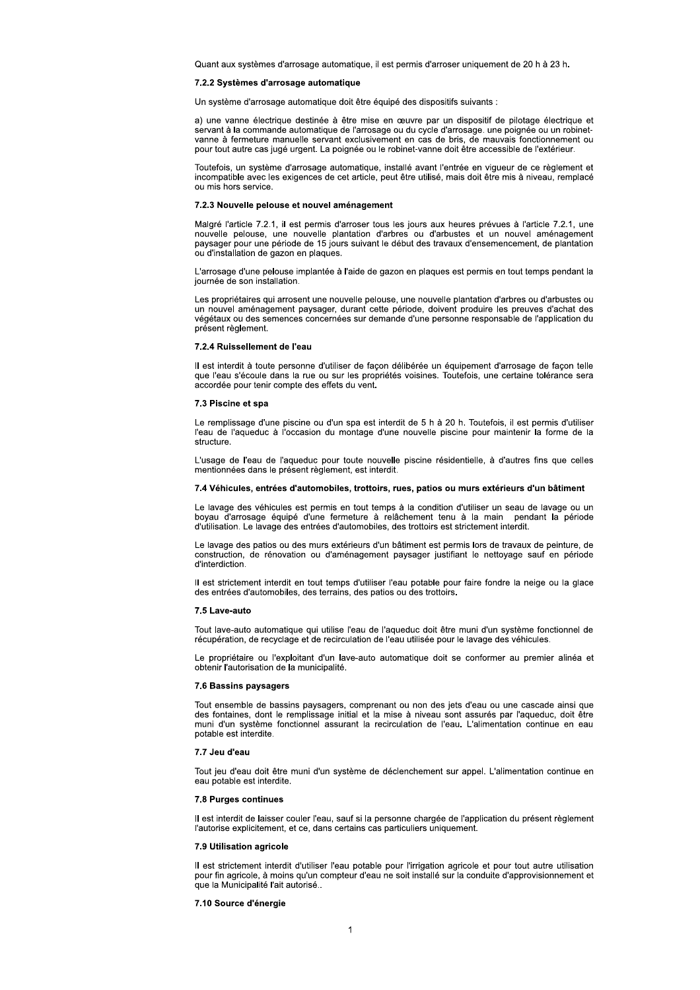Quant aux systèmes d'arrosage automatique, il est permis d'arroser uniquement de 20 h à 23 h.

# 7.2.2 Systèmes d'arrosage automatique

Un système d'arrosage automatique doit être équipé des dispositifs suivants :

a) une vanne électrique destinée à être mise en œuvre par un dispositif de pilotage électrique et servant à la commande automatique de l'arrosage ou du cycle d'arrosage. une poignée ou un robinetvanne à fermeture manuelle servant exclusivement en cas de bris. de mauvais fonctionnement ou pour tout autre cas jugé urgent. La poignée ou le robinet-vanne doit être accessible de l'extérieur.

Toutefois, un système d'arrosage automatique, installé avant l'entrée en vigueur de ce règlement et incompatible avec les exigences de cet article, peut être utilisé, mais doit être mis à niveau, remplacé ou mis hors service.

## 7.2.3 Nouvelle pelouse et nouvel aménagement

Malgré l'article 7.2.1, il est permis d'arroser tous les jours aux heures prévues à l'article 7.2.1, une nouvelle pelouse, une nouvelle plantation d'arbres ou d'arbustes et un nouvel aménagement paysager pour une période de 15 jours suivant le début des travaux d'ensemencement, de plantation ou d'installation de gazon en plaques.

L'arrosage d'une pelouse implantée à l'aide de gazon en plagues est permis en tout temps pendant la journée de son installation.

Les propriétaires qui arrosent une nouvelle pelouse, une nouvelle plantation d'arbres ou d'arbustes ou un nouvel aménagement paysager, durant cette période, doivent produire les preuves d'achat des végétaux ou des semences concernées sur demande d'une personne responsable de l'application du présent règlement.

# 7.2.4 Ruissellement de l'eau

Il est interdit à toute personne d'utiliser de façon délibérée un équipement d'arrosage de façon telle que l'eau s'écoule dans la rue ou sur les propriétés voisines. Toutefois, une certaine tolérance sera accordée pour tenir compte des effets du vent.

### 7.3 Piscine et spa

Le remplissage d'une piscine ou d'un spa est interdit de 5 h à 20 h. Toutefois, il est permis d'utiliser l'eau de l'aqueduc à l'occasion du montage d'une nouvelle piscine pour maintenir la forme de la structure

L'usage de l'eau de l'aqueduc pour toute nouvelle piscine résidentielle, à d'autres fins que celles mentionnées dans le présent règlement, est interdit.

# 7.4 Véhicules, entrées d'automobiles, trottoirs, rues, patios ou murs extérieurs d'un bâtiment

Le lavage des véhicules est permis en tout temps à la condition d'utiliser un seau de lavage ou un boyau d'arrosage équipé d'une fermeture à relâchement tenu à la main pendant la période d'utilisation. Le lavage des entrées d'automobiles, des trottoirs est strictement interdit.

Le lavage des patios ou des murs extérieurs d'un bâtiment est permis lors de travaux de peinture, de construction, de rénovation ou d'aménagement paysager justifiant le nettoyage sauf en période d'interdiction.

Il est strictement interdit en tout temps d'utiliser l'eau potable pour faire fondre la neige ou la glace des entrées d'automobiles, des terrains, des patios ou des trottoirs.

### 7.5 Lave-auto

Tout lave-auto automatique qui utilise l'eau de l'aqueduc doit être muni d'un système fonctionnel de récupération, de recyclage et de recirculation de l'eau utilisée pour le lavage des véhicules.

Le propriétaire ou l'exploitant d'un laye-auto automatique doit se conformer au premier alinéa et obtenir l'autorisation de la municipalité.

# 7.6 Bassins paysagers

Tout ensemble de bassins paysagers, comprenant ou non des jets d'eau ou une cascade ainsi que des fontaines, dont le remplissage initial et la mise à niveau sont assurés par l'aqueduc, doit être muni d'un système fonctionnel assurant la recirculation de l'eau. L'alimentation continue en eau potable est interdite.

# 7.7 Jeu d'eau

Tout jeu d'eau doit être muni d'un système de déclenchement sur appel. L'alimentation continue en eau potable est interdite.

# 7.8 Purges continues

Il est interdit de laisser couler l'eau, sauf si la personne chargée de l'application du présent règlement l'autorise explicitement, et ce, dans certains cas particuliers uniquement.

# 7.9 Utilisation agricole

Il est strictement interdit d'utiliser l'eau potable pour l'irrigation agricole et pour tout autre utilisation pour fin agricole, à moins qu'un compteur d'eau ne soit installé sur la conduite d'approvisionnement et que la Municipalité l'ait autorisé...

7.10 Source d'énergie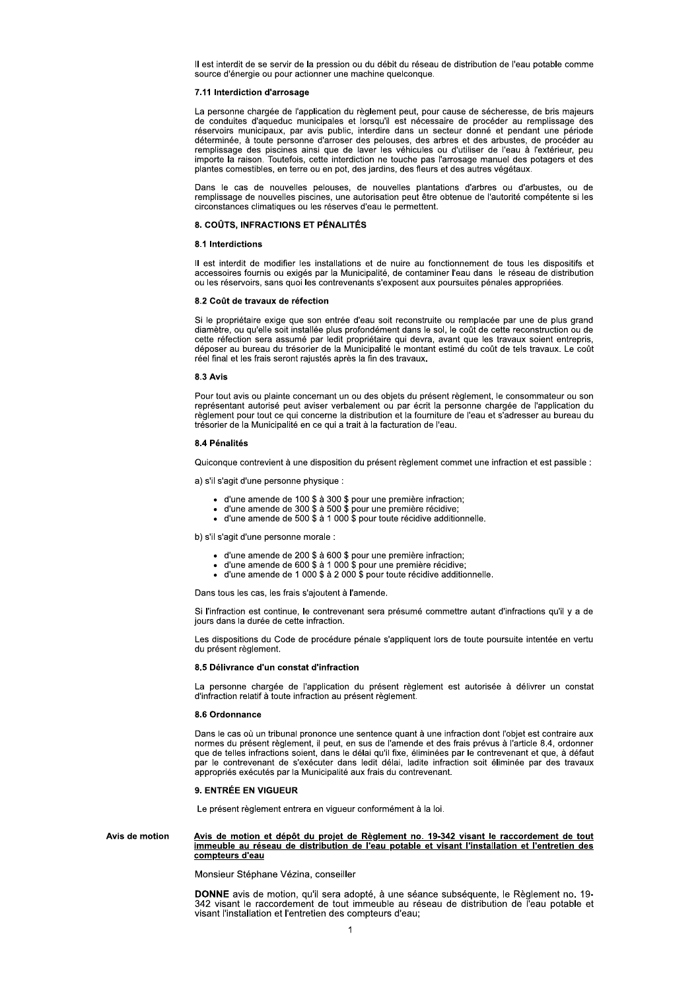Il est interdit de se servir de la pression ou du débit du réseau de distribution de l'eau potable comme source d'énergie ou pour actionner une machine quelconque.

### 7.11 Interdiction d'arrosage

La personne chargée de l'application du règlement peut, pour cause de sécheresse, de bris majeurs de conduites d'aqueduc municipales et lorsqu'il est nécessaire de procéder au remplissage des réservoirs municipaux, par avis public, interdire dans un secteur donné et pendant une période déterminée, à toute personne d'arroser des pelouses, des arbres et des arbustes, de procéder au<br>remplissage des piscines ainsi que de laver les véhicules ou d'utiliser de l'eau à l'extérieur, peu importe la raison. Toutefois, cette interdiction ne touche pas l'arrosage manuel des potagers et des plantes comestibles, en terre ou en pot, des jardins, des fleurs et des autres végétaux

Dans le cas de nouvelles pelouses, de nouvelles plantations d'arbres ou d'arbustes, ou de remplissage de nouvelles piscines, une autorisation peut être obtenue de l'autorité compétente si les circonstances climatiques ou les réserves d'eau le permettent.

# 8. COÛTS, INFRACTIONS ET PÉNALITÉS

# 8.1 Interdictions

Il est interdit de modifier les installations et de nuire au fonctionnement de tous les dispositifs et accessoires fournis ou exigés par la Municipalité, de contaminer l'eau dans le réseau de distribution ou les réservoirs, sans quoi les contrevenants s'exposent aux poursuites pénales appropriées.

# 8.2 Coût de travaux de réfection

Si le propriétaire exige que son entrée d'eau soit reconstruite ou remplacée par une de plus grand diamètre, ou qu'elle soit installée plus profondément dans le sol, le coût de cette reconstruction ou de cette réfection sera assumé par ledit propriétaire qui devra, avant que les travaux soient entrepris, déposer au bureau du trésorier de la Municipalité le montant estimé du coût de tels travaux. Le coût réel final et les frais seront rajustés après la fin des travaux.

# 8.3 Avis

Pour tout avis ou plainte concernant un ou des objets du présent règlement, le consommateur ou son représentant autorisé peut aviser verbalement ou par écrit la personne chargée de l'application du règlement pour tout ce qui concerne la distribution et la fourniture de l'eau et s'adresser au bureau du trésorier de la Municipalité en ce qui a trait à la facturation de l'eau.

## 8.4 Pénalités

Quiconque contrevient à une disposition du présent règlement commet une infraction et est passible :

a) s'il s'agit d'une personne physique :

- · d'une amende de 100 \$ à 300 \$ pour une première infraction;
- d'une amende de 300 \$ à 500 \$ pour une première récidive;<br>■ d'une amende de 300 \$ à 500 \$ pour une première récidive;<br>■ d'une amende de 500 \$ à 1 000 \$ pour toute récidive additionnelle.
- 

b) s'il s'agit d'une personne morale :

- d'une amende de 200 \$ à 600 \$ pour une première infraction;<br>- d'une amende de 600 \$ à 1 000 \$ pour une première récidive;
- 
- d'une amende de 1 000 \$ à 2 000 \$ pour toute récidive additionnelle.

Dans tous les cas, les frais s'ajoutent à l'amende.

Si l'infraction est continue, le contrevenant sera présumé commettre autant d'infractions qu'il y a de jours dans la durée de cette infraction.

Les dispositions du Code de procédure pénale s'appliquent lors de toute poursuite intentée en vertu du présent règlement.

# 8.5 Délivrance d'un constat d'infraction

La personne chargée de l'application du présent règlement est autorisée à délivrer un constat d'infraction relatif à toute infraction au présent règlement.

### 8.6 Ordonnance

Dans le cas où un tribunal prononce une sentence quant à une infraction dont l'obiet est contraire aux normes du présent règlement, il peut, en sus de l'amende et des frais prévus à l'article 8.4, ordonner que de telles infractions soient, dans le délai qu'il fixe, éliminées par le contrevenant et que, à défaut par le contrevenant de s'exécuter dans ledit délai, ladite infraction soit éliminée par des travaux appropriés exécutés par la Municipalité aux frais du contrevenant.

# 9 ENTRÉE EN VIGUEUR

Le présent règlement entrera en vigueur conformément à la loi.

#### Avis de motion et dépôt du projet de Règlement no. 19-342 visant le raccordement de tout Avis de motion immeuble au réseau de distribution de l'eau potable et visant l'installation et l'entretien des compteurs d'eau

# Monsieur Stéphane Vézina, conseiller

DONNE avis de motion, qu'il sera adopté, à une séance subséquente, le Règlement no. 19-342 visant le raccordement de tout immeuble au réseau de distribution de l'eau potable et visant l'installation et l'entretien des compteurs d'eau;